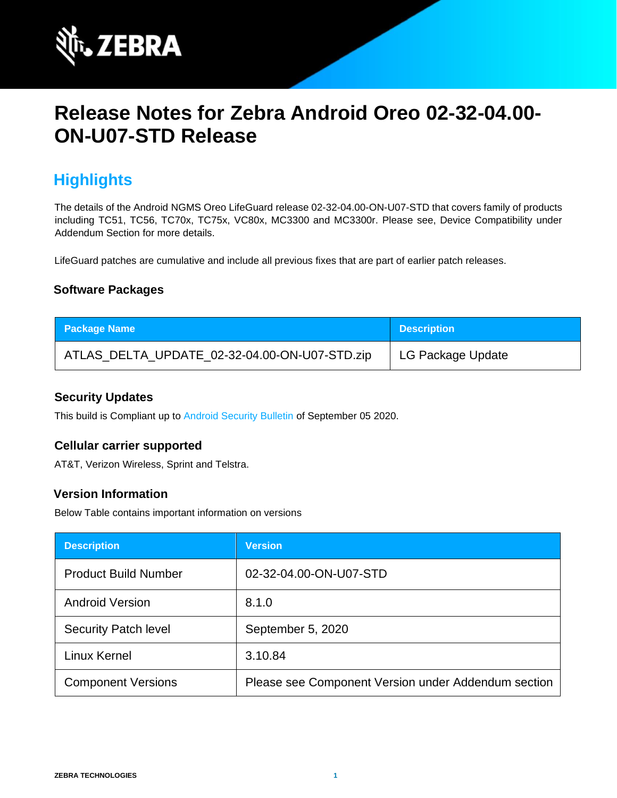

# **Release Notes for Zebra Android Oreo 02-32-04.00- ON-U07-STD Release**

# **Highlights**

The details of the Android NGMS Oreo LifeGuard release 02-32-04.00-ON-U07-STD that covers family of products including TC51, TC56, TC70x, TC75x, VC80x, MC3300 and MC3300r. Please see, Device Compatibility under Addendum Section for more details.

LifeGuard patches are cumulative and include all previous fixes that are part of earlier patch releases.

### **Software Packages**

| <b>Package Name</b>                           | <b>Description</b> |
|-----------------------------------------------|--------------------|
| ATLAS_DELTA_UPDATE_02-32-04.00-ON-U07-STD.zip | LG Package Update  |

### **Security Updates**

This build is Compliant up to [Android Security Bulletin](https://source.android.com/security/bulletin/) of September 05 2020.

#### **Cellular carrier supported**

AT&T, Verizon Wireless, Sprint and Telstra.

### **Version Information**

Below Table contains important information on versions

| <b>Description</b>          | <b>Version</b>                                      |
|-----------------------------|-----------------------------------------------------|
| <b>Product Build Number</b> | 02-32-04.00-ON-U07-STD                              |
| <b>Android Version</b>      | 8.1.0                                               |
| <b>Security Patch level</b> | September 5, 2020                                   |
| Linux Kernel                | 3.10.84                                             |
| <b>Component Versions</b>   | Please see Component Version under Addendum section |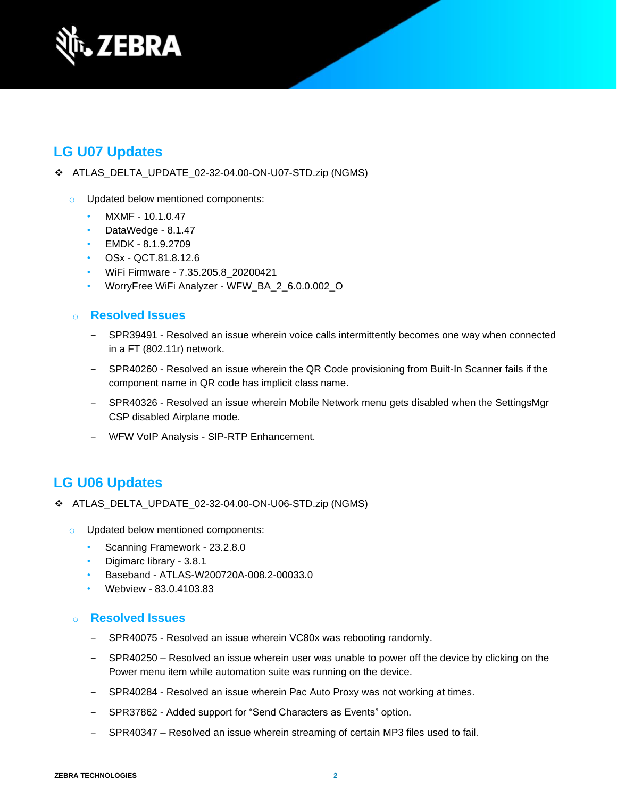

# **LG U07 Updates**

- ❖ ATLAS\_DELTA\_UPDATE\_02-32-04.00-ON-U07-STD.zip (NGMS)
	- o Updated below mentioned components:
		- MXMF 10.1.0.47
		- DataWedge 8.1.47
		- EMDK 8.1.9.2709
		- OSx QCT.81.8.12.6
		- WiFi Firmware 7.35.205.8\_20200421
		- WorryFree WiFi Analyzer WFW\_BA\_2\_6.0.0.002\_O

### o **Resolved Issues**

- ‒ SPR39491 Resolved an issue wherein voice calls intermittently becomes one way when connected in a FT (802.11r) network.
- ‒ SPR40260 Resolved an issue wherein the QR Code provisioning from Built-In Scanner fails if the component name in QR code has implicit class name.
- ‒ SPR40326 Resolved an issue wherein Mobile Network menu gets disabled when the SettingsMgr CSP disabled Airplane mode.
- WFW VoIP Analysis SIP-RTP Enhancement.

# **LG U06 Updates**

### ❖ ATLAS\_DELTA\_UPDATE\_02-32-04.00-ON-U06-STD.zip (NGMS)

- o Updated below mentioned components:
	- Scanning Framework 23.2.8.0
	- Digimarc library 3.8.1
	- Baseband ATLAS-W200720A-008.2-00033.0
	- Webview 83.0.4103.83

### o **Resolved Issues**

- SPR40075 Resolved an issue wherein VC80x was rebooting randomly.
- SPR40250 Resolved an issue wherein user was unable to power off the device by clicking on the Power menu item while automation suite was running on the device.
- SPR40284 Resolved an issue wherein Pac Auto Proxy was not working at times.
- SPR37862 Added support for "Send Characters as Events" option.
- ‒ SPR40347 Resolved an issue wherein streaming of certain MP3 files used to fail.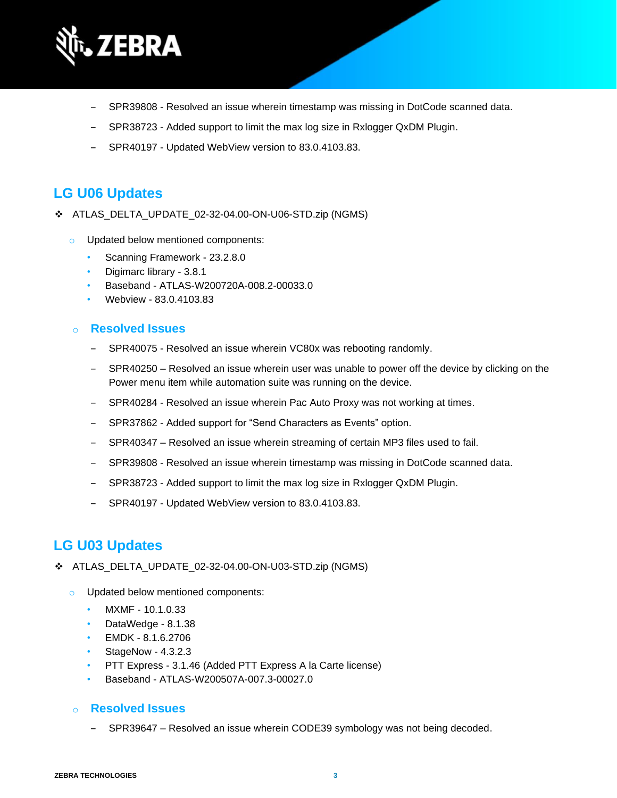

- ‒ SPR39808 Resolved an issue wherein timestamp was missing in DotCode scanned data.
- SPR38723 Added support to limit the max log size in Rxlogger QxDM Plugin.
- SPR40197 Updated WebView version to 83.0.4103.83.

## **LG U06 Updates**

- ❖ ATLAS\_DELTA\_UPDATE\_02-32-04.00-ON-U06-STD.zip (NGMS)
	- o Updated below mentioned components:
		- Scanning Framework 23.2.8.0
		- Digimarc library 3.8.1
		- Baseband ATLAS-W200720A-008.2-00033.0
		- Webview 83.0.4103.83

#### o **Resolved Issues**

- SPR40075 Resolved an issue wherein VC80x was rebooting randomly.
- ‒ SPR40250 Resolved an issue wherein user was unable to power off the device by clicking on the Power menu item while automation suite was running on the device.
- SPR40284 Resolved an issue wherein Pac Auto Proxy was not working at times.
- ‒ SPR37862 Added support for "Send Characters as Events" option.
- ‒ SPR40347 Resolved an issue wherein streaming of certain MP3 files used to fail.
- ‒ SPR39808 Resolved an issue wherein timestamp was missing in DotCode scanned data.
- ‒ SPR38723 Added support to limit the max log size in Rxlogger QxDM Plugin.
- ‒ SPR40197 Updated WebView version to 83.0.4103.83.

# **LG U03 Updates**

- ❖ ATLAS\_DELTA\_UPDATE\_02-32-04.00-ON-U03-STD.zip (NGMS)
	- o Updated below mentioned components:
		- MXMF 10.1.0.33
		- DataWedge 8.1.38
		- EMDK 8.1.6.2706
		- StageNow 4.3.2.3
		- PTT Express 3.1.46 (Added PTT Express A la Carte license)
		- Baseband ATLAS-W200507A-007.3-00027.0

#### o **Resolved Issues**

‒ SPR39647 – Resolved an issue wherein CODE39 symbology was not being decoded.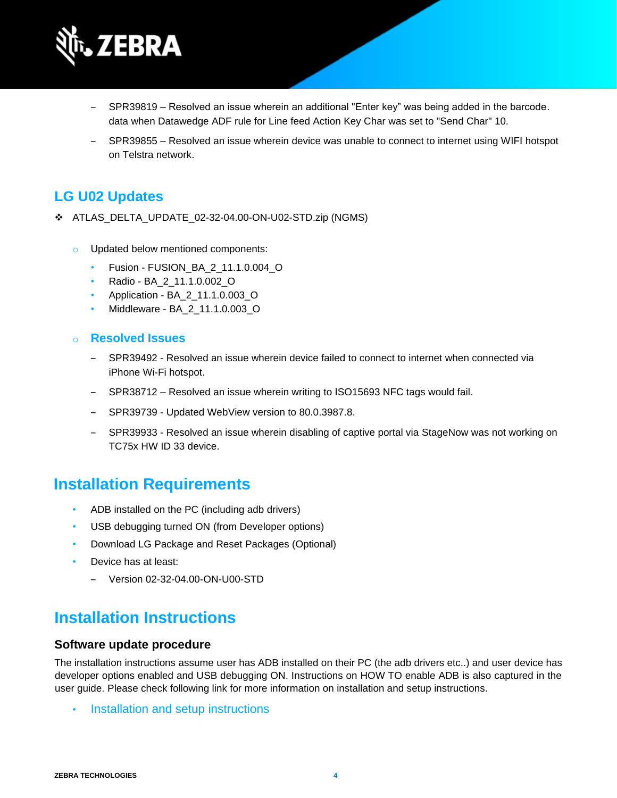

- ‒ SPR39819 Resolved an issue wherein an additional "Enter key" was being added in the barcode. data when Datawedge ADF rule for Line feed Action Key Char was set to "Send Char" 10.
- ‒ SPR39855 Resolved an issue wherein device was unable to connect to internet using WIFI hotspot on Telstra network.

## **LG U02 Updates**

- ❖ ATLAS\_DELTA\_UPDATE\_02-32-04.00-ON-U02-STD.zip (NGMS)
	- o Updated below mentioned components:
		- Fusion FUSION\_BA\_2\_11.1.0.004\_O
		- Radio BA\_2\_11.1.0.002\_O
		- Application BA\_2\_11.1.0.003\_O
		- Middleware BA\_2\_11.1.0.003\_O

#### o **Resolved Issues**

- ‒ SPR39492 Resolved an issue wherein device failed to connect to internet when connected via iPhone Wi-Fi hotspot.
- ‒ SPR38712 Resolved an issue wherein writing to ISO15693 NFC tags would fail.
- SPR39739 Updated WebView version to 80.0.3987.8.
- ‒ SPR39933 Resolved an issue wherein disabling of captive portal via StageNow was not working on TC75x HW ID 33 device.

# **Installation Requirements**

- ADB installed on the PC (including adb drivers)
- USB debugging turned ON (from Developer options)
- Download LG Package and Reset Packages (Optional)
- Device has at least:
	- ‒ Version 02-32-04.00-ON-U00-STD

# **Installation Instructions**

#### **Software update procedure**

The installation instructions assume user has ADB installed on their PC (the adb drivers etc..) and user device has developer options enabled and USB debugging ON. Instructions on HOW TO enable ADB is also captured in the user guide. Please check following link for more information on installation and setup instructions.

• [Installation and setup instructions](https://www.zebra.com/content/dam/zebra_new_ia/en-us/software/operating-system/tc5x-tc7x-shared-operating-system/atlas_oreo-os-update-instructions.pdf)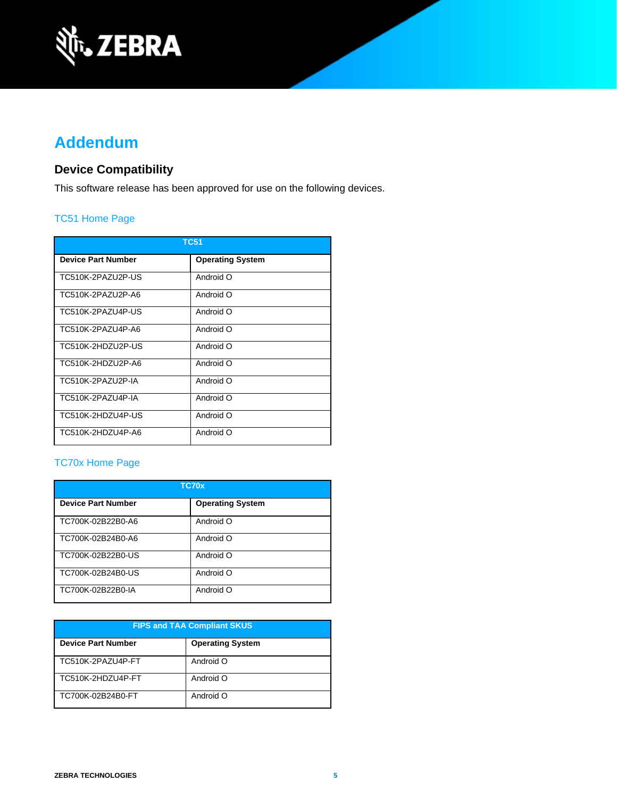

# **Addendum**

## **Device Compatibility**

This software release has been approved for use on the following devices.

## [TC51 Home Page](https://www.zebra.com/us/en/support-downloads/mobile-computers/handheld/tc51.html)

| <b>TC51</b>               |                         |  |  |
|---------------------------|-------------------------|--|--|
| <b>Device Part Number</b> | <b>Operating System</b> |  |  |
| TC510K-2PAZU2P-US         | Android O               |  |  |
| TC510K-2PAZU2P-A6         | Android O               |  |  |
| TC510K-2PAZU4P-US         | Android O               |  |  |
| TC510K-2PAZU4P-A6         | Android O               |  |  |
| TC510K-2HDZU2P-US         | Android O               |  |  |
| TC510K-2HDZU2P-A6         | O hionhnA               |  |  |
| TC510K-2PAZU2P-IA         | Android O               |  |  |
| TC510K-2PAZU4P-IA         | Android O               |  |  |
| TC510K-2HDZU4P-US         | O bionbnA               |  |  |
| TC510K-2HDZU4P-A6         | Android O               |  |  |

### [TC70x Home Page](https://www.zebra.com/us/en/support-downloads/mobile-computers/handheld/tc70x.html)

| TC70x                     |                         |  |  |
|---------------------------|-------------------------|--|--|
| <b>Device Part Number</b> | <b>Operating System</b> |  |  |
| TC700K-02B22B0-A6         | Android O               |  |  |
| TC700K-02B24B0-A6         | Android O               |  |  |
| TC700K-02B22B0-US         | Android O               |  |  |
| TC700K-02B24B0-US         | Android O               |  |  |
| TC700K-02B22B0-IA         | Android O               |  |  |

| <b>FIPS and TAA Compliant SKUS</b> |                         |  |  |
|------------------------------------|-------------------------|--|--|
| <b>Device Part Number</b>          | <b>Operating System</b> |  |  |
| TC510K-2PAZU4P-FT                  | Android O               |  |  |
| TC510K-2HDZU4P-FT                  | Android O               |  |  |
| TC700K-02B24B0-FT                  | Android O               |  |  |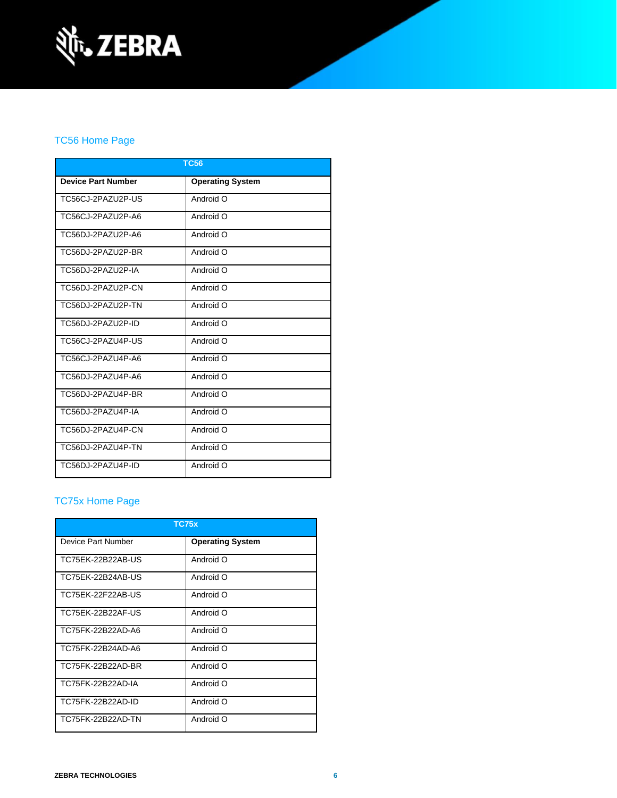

## [TC56 Home Page](https://www.zebra.com/us/en/support-downloads/mobile-computers/handheld/tc56.html)

| <b>TC56</b>               |                         |  |  |
|---------------------------|-------------------------|--|--|
| <b>Device Part Number</b> | <b>Operating System</b> |  |  |
| TC56CJ-2PAZU2P-US         | Android O               |  |  |
| TC56C.I-2PAZU2P-A6        | Android O               |  |  |
| TC56DJ-2PAZU2P-A6         | Android O               |  |  |
| TC56DJ-2PAZU2P-BR         | Android O               |  |  |
| TC56DJ-2PAZU2P-IA         | Android O               |  |  |
| TC56DJ-2PAZU2P-CN         | Android O               |  |  |
| TC56DJ-2PAZU2P-TN         | Android O               |  |  |
| TC56DJ-2PAZU2P-ID         | Android O               |  |  |
| TC56CJ-2PAZU4P-US         | Android O               |  |  |
| TC56C.I-2PAZU4P-A6        | Android O               |  |  |
| TC56DJ-2PAZU4P-A6         | Android O               |  |  |
| TC56DJ-2PAZU4P-BR         | Android O               |  |  |
| TC56DJ-2PAZU4P-IA         | Android O               |  |  |
| TC56DJ-2PAZU4P-CN         | Android O               |  |  |
| TC56DJ-2PAZU4P-TN         | Android O               |  |  |
| TC56DJ-2PAZU4P-ID         | Android O               |  |  |

## [TC75x Home Page](https://www.zebra.com/us/en/support-downloads/mobile-computers/handheld/tc75x.html)

| <b>TC75x</b>       |                         |  |  |
|--------------------|-------------------------|--|--|
| Device Part Number | <b>Operating System</b> |  |  |
| TC75EK-22B22AB-US  | Android O               |  |  |
| TC75EK-22B24AB-US  | Android O               |  |  |
| TC75EK-22F22AB-US  | Android O               |  |  |
| TC75EK-22B22AF-US  | Android O               |  |  |
| TC75FK-22B22AD-A6  | Android O               |  |  |
| TC75FK-22B24AD-A6  | Android O               |  |  |
| TC75FK-22B22AD-BR  | Android O               |  |  |
| TC75FK-22B22AD-IA  | Android O               |  |  |
| TC75FK-22B22AD-ID  | Android O               |  |  |
| TC75FK-22B22AD-TN  | Android O               |  |  |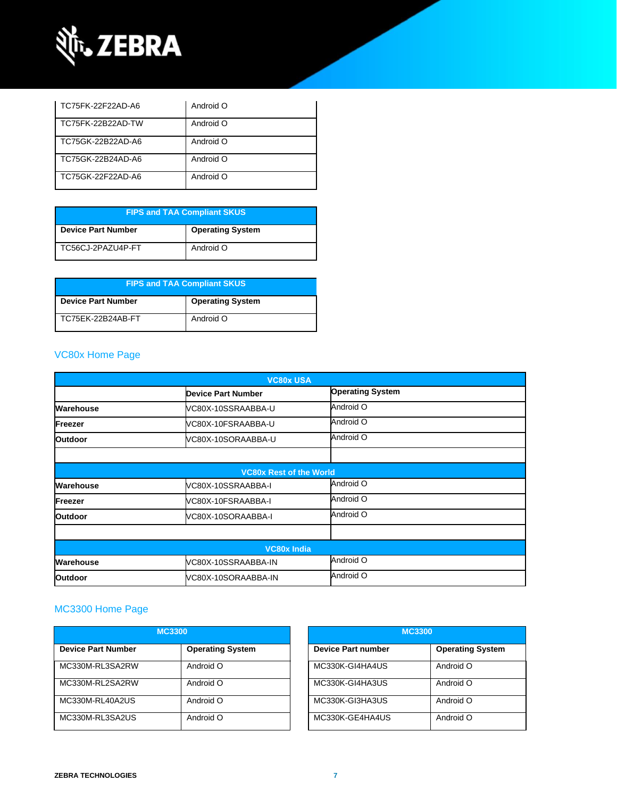

| TC75FK-22F22AD-A6 | Android O |
|-------------------|-----------|
| TC75FK-22B22AD-TW | Android O |
| TC75GK-22B22AD-A6 | Android O |
| TC75GK-22B24AD-A6 | Android O |
| TC75GK-22F22AD-A6 | Android O |

| <b>FIPS and TAA Compliant SKUS</b> |                         |  |  |
|------------------------------------|-------------------------|--|--|
| <b>Device Part Number</b>          | <b>Operating System</b> |  |  |
| TC56CJ-2PAZU4P-FT                  | Android O               |  |  |

| <b>FIPS and TAA Compliant SKUS</b> |                         |  |
|------------------------------------|-------------------------|--|
| <b>Device Part Number</b>          | <b>Operating System</b> |  |
| TC75EK-22B24AB-FT                  | Android O               |  |

### [VC80x Home Page](https://www.zebra.com/us/en/support-downloads/mobile-computers/vehicle-mounted/vc80x.html)

| <b>VC80x USA</b>   |                                |                         |  |
|--------------------|--------------------------------|-------------------------|--|
|                    | <b>Device Part Number</b>      | <b>Operating System</b> |  |
| <b>Warehouse</b>   | VC80X-10SSRAABBA-U             | Android O               |  |
| Freezer            | VC80X-10FSRAABBA-U             | Android O               |  |
| <b>Outdoor</b>     | VC80X-10SORAABBA-U             | Android O               |  |
|                    |                                |                         |  |
|                    | <b>VC80x Rest of the World</b> |                         |  |
| Warehouse          | VC80X-10SSRAABBA-I             | Android O               |  |
| Freezer            | VC80X-10FSRAABBA-I             | Android O               |  |
| <b>Outdoor</b>     | VC80X-10SORAABBA-I             | Android O               |  |
|                    |                                |                         |  |
| <b>VC80x India</b> |                                |                         |  |
| Warehouse          | VC80X-10SSRAABBA-IN            | Android O               |  |
| <b>Outdoor</b>     | VC80X-10SORAABBA-IN            | Android O               |  |

### MC3300 [Home Page](https://www.zebra.com/us/en/support-downloads/mobile-computers/handheld/mc3300.html)

| <b>MC3300</b>             |                         | <b>MC3300</b>             |                         |
|---------------------------|-------------------------|---------------------------|-------------------------|
| <b>Device Part Number</b> | <b>Operating System</b> | <b>Device Part number</b> | <b>Operating System</b> |
| MC330M-RL3SA2RW           | Android O               | MC330K-GI4HA4US           | Android O               |
| MC330M-RL2SA2RW           | Android O               | MC330K-GI4HA3US           | Android O               |
| MC330M-RL40A2US           | Android O               | MC330K-GI3HA3US           | Android O               |
| MC330M-RL3SA2US           | Android O               | MC330K-GE4HA4US           | Android O               |

| <b>MC3300</b>      |                         |  |
|--------------------|-------------------------|--|
| Device Part number | <b>Operating System</b> |  |
| MC330K-GI4HA4US    | Android O               |  |
| MC330K-GI4HA3US    | Android O               |  |
| MC330K-GI3HA3US    | Android O               |  |
| MC330K-GE4HA4US    | Android O               |  |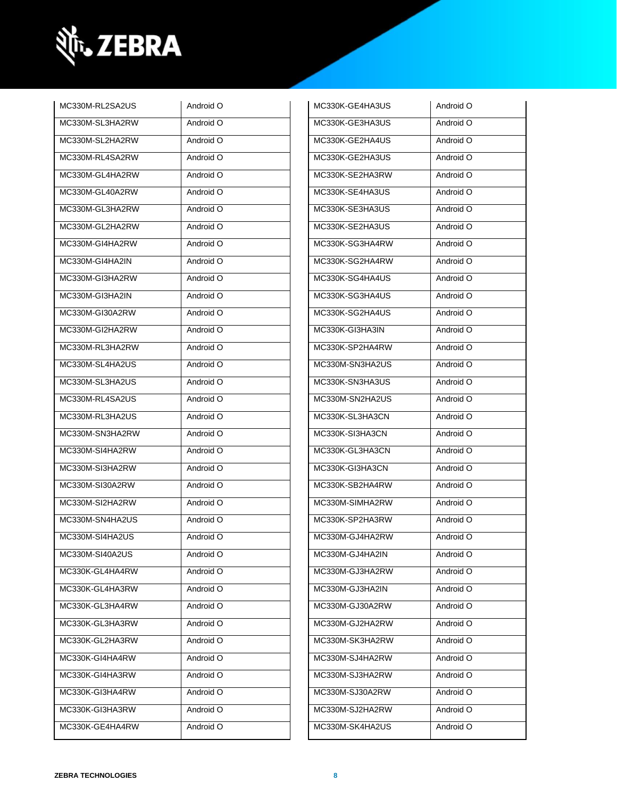

| MC330M-RL2SA2US | Android O | MC330K-GE4HA3US | Android O |
|-----------------|-----------|-----------------|-----------|
| MC330M-SL3HA2RW | Android O | MC330K-GE3HA3US | Android O |
| MC330M-SL2HA2RW | Android O | MC330K-GE2HA4US | Android O |
| MC330M-RL4SA2RW | Android O | MC330K-GE2HA3US | Android O |
| MC330M-GL4HA2RW | Android O | MC330K-SE2HA3RW | Android O |
| MC330M-GL40A2RW | Android O | MC330K-SE4HA3US | Android O |
| MC330M-GL3HA2RW | Android O | MC330K-SE3HA3US | Android O |
| MC330M-GL2HA2RW | Android O | MC330K-SE2HA3US | Android O |
| MC330M-GI4HA2RW | Android O | MC330K-SG3HA4RW | Android O |
| MC330M-GI4HA2IN | Android O | MC330K-SG2HA4RW | Android O |
| MC330M-GI3HA2RW | Android O | MC330K-SG4HA4US | Android O |
| MC330M-GI3HA2IN | Android O | MC330K-SG3HA4US | Android O |
| MC330M-GI30A2RW | Android O | MC330K-SG2HA4US | Android O |
| MC330M-GI2HA2RW | Android O | MC330K-GI3HA3IN | Android O |
| MC330M-RL3HA2RW | Android O | MC330K-SP2HA4RW | Android O |
| MC330M-SL4HA2US | Android O | MC330M-SN3HA2US | Android O |
| MC330M-SL3HA2US | Android O | MC330K-SN3HA3US | Android O |
| MC330M-RL4SA2US | Android O | MC330M-SN2HA2US | Android O |
| MC330M-RL3HA2US | Android O | MC330K-SL3HA3CN | Android O |
| MC330M-SN3HA2RW | Android O | MC330K-SI3HA3CN | Android O |
| MC330M-SI4HA2RW | Android O | MC330K-GL3HA3CN | Android O |
| MC330M-SI3HA2RW | Android O | MC330K-GI3HA3CN | Android O |
| MC330M-SI30A2RW | Android O | MC330K-SB2HA4RW | Android O |
| MC330M-SI2HA2RW | Android O | MC330M-SIMHA2RW | Android O |
| MC330M-SN4HA2US | Android O | MC330K-SP2HA3RW | Android O |
| MC330M-SI4HA2US | Android O | MC330M-GJ4HA2RW | Android O |
| MC330M-SI40A2US | Android O | MC330M-GJ4HA2IN | Android O |
| MC330K-GL4HA4RW | Android O | MC330M-GJ3HA2RW | Android O |
| MC330K-GL4HA3RW | Android O | MC330M-GJ3HA2IN | Android O |
| MC330K-GL3HA4RW | Android O | MC330M-GJ30A2RW | Android O |
| MC330K-GL3HA3RW | Android O | MC330M-GJ2HA2RW | Android O |
| MC330K-GL2HA3RW | Android O | MC330M-SK3HA2RW | Android O |
| MC330K-GI4HA4RW | Android O | MC330M-SJ4HA2RW | Android O |
| MC330K-GI4HA3RW | Android O | MC330M-SJ3HA2RW | Android O |
| MC330K-GI3HA4RW | Android O | MC330M-SJ30A2RW | Android O |
| MC330K-GI3HA3RW | Android O | MC330M-SJ2HA2RW | Android O |
| MC330K-GE4HA4RW | Android O | MC330M-SK4HA2US | Android O |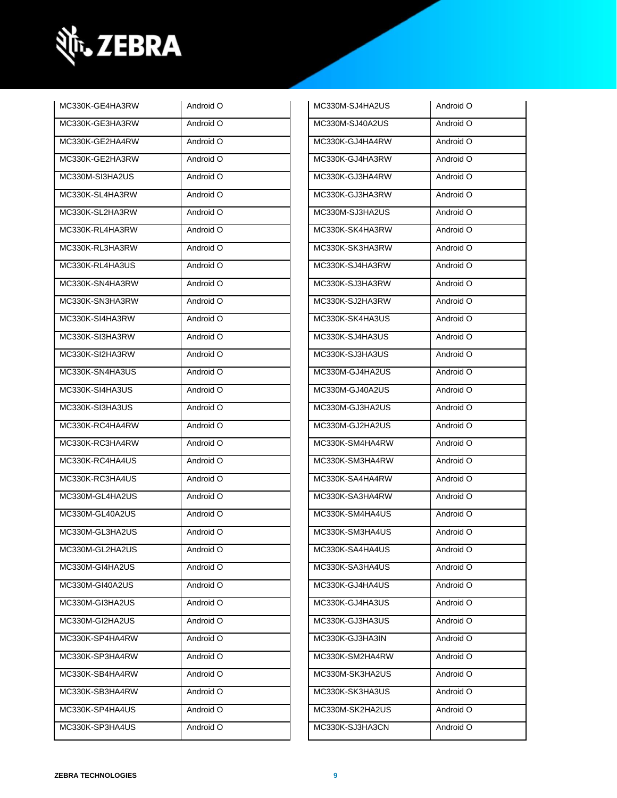

| MC330K-GE4HA3RW | Android O | MC330M-SJ4HA2US | Android O |
|-----------------|-----------|-----------------|-----------|
| MC330K-GE3HA3RW | Android O | MC330M-SJ40A2US | Android O |
| MC330K-GE2HA4RW | Android O | MC330K-GJ4HA4RW | Android O |
| MC330K-GE2HA3RW | Android O | MC330K-GJ4HA3RW | Android O |
| MC330M-SI3HA2US | Android O | MC330K-GJ3HA4RW | Android O |
| MC330K-SL4HA3RW | Android O | MC330K-GJ3HA3RW | Android O |
| MC330K-SL2HA3RW | Android O | MC330M-SJ3HA2US | Android O |
| MC330K-RL4HA3RW | Android O | MC330K-SK4HA3RW | Android O |
| MC330K-RL3HA3RW | Android O | MC330K-SK3HA3RW | Android O |
| MC330K-RL4HA3US | Android O | MC330K-SJ4HA3RW | Android O |
| MC330K-SN4HA3RW | Android O | MC330K-SJ3HA3RW | Android O |
| MC330K-SN3HA3RW | Android O | MC330K-SJ2HA3RW | Android O |
| MC330K-SI4HA3RW | Android O | MC330K-SK4HA3US | Android O |
| MC330K-SI3HA3RW | Android O | MC330K-SJ4HA3US | Android O |
| MC330K-SI2HA3RW | Android O | MC330K-SJ3HA3US | Android O |
| MC330K-SN4HA3US | Android O | MC330M-GJ4HA2US | Android O |
| MC330K-SI4HA3US | Android O | MC330M-GJ40A2US | Android O |
| MC330K-SI3HA3US | Android O | MC330M-GJ3HA2US | Android O |
| MC330K-RC4HA4RW | Android O | MC330M-GJ2HA2US | Android O |
| MC330K-RC3HA4RW | Android O | MC330K-SM4HA4RW | Android O |
| MC330K-RC4HA4US | Android O | MC330K-SM3HA4RW | Android O |
| MC330K-RC3HA4US | Android O | MC330K-SA4HA4RW | Android O |
| MC330M-GL4HA2US | Android O | MC330K-SA3HA4RW | Android O |
| MC330M-GL40A2US | Android O | MC330K-SM4HA4US | Android O |
| MC330M-GL3HA2US | Android O | MC330K-SM3HA4US | Android O |
| MC330M-GL2HA2US | Android O | MC330K-SA4HA4US | Android O |
| MC330M-GI4HA2US | Android O | MC330K-SA3HA4US | Android O |
| MC330M-GI40A2US | Android O | MC330K-GJ4HA4US | Android O |
| MC330M-GI3HA2US | Android O | MC330K-GJ4HA3US | Android O |
| MC330M-GI2HA2US | Android O | MC330K-GJ3HA3US | Android O |
| MC330K-SP4HA4RW | Android O | MC330K-GJ3HA3IN | Android O |
| MC330K-SP3HA4RW | Android O | MC330K-SM2HA4RW | Android O |
| MC330K-SB4HA4RW | Android O | MC330M-SK3HA2US | Android O |
| MC330K-SB3HA4RW | Android O | MC330K-SK3HA3US | Android O |
| MC330K-SP4HA4US | Android O | MC330M-SK2HA2US | Android O |
| MC330K-SP3HA4US | Android O | MC330K-SJ3HA3CN | Android O |
|                 |           |                 |           |

| MC330M-SJ4HA2US | Android O |
|-----------------|-----------|
| MC330M-SJ40A2US | Android O |
| MC330K-GJ4HA4RW | Android O |
| MC330K-GJ4HA3RW | Android O |
| MC330K-GJ3HA4RW | Android O |
| MC330K-GJ3HA3RW | Android O |
| MC330M-SJ3HA2US | Android O |
| MC330K-SK4HA3RW | Android O |
| MC330K-SK3HA3RW | Android O |
| MC330K-SJ4HA3RW | Android O |
| MC330K-SJ3HA3RW | Android O |
| MC330K-SJ2HA3RW | Android O |
| MC330K-SK4HA3US | Android O |
| MC330K-SJ4HA3US | Android O |
| MC330K-SJ3HA3US | Android O |
| MC330M-GJ4HA2US | Android O |
| MC330M-GJ40A2US | Android O |
| MC330M-GJ3HA2US | Android O |
| MC330M-GJ2HA2US | Android O |
| MC330K-SM4HA4RW | Android O |
| MC330K-SM3HA4RW | Android O |
| MC330K-SA4HA4RW | Android O |
| MC330K-SA3HA4RW | Android O |
| MC330K-SM4HA4US | Android O |
| MC330K-SM3HA4US | Android O |
| MC330K-SA4HA4US | Android O |
| MC330K-SA3HA4US | Android O |
| MC330K-GJ4HA4US | Android O |
| MC330K-GJ4HA3US | Android O |
| MC330K-GJ3HA3US | Android O |
| MC330K-GJ3HA3IN | Android O |
| MC330K-SM2HA4RW | Android O |
| MC330M-SK3HA2US | Android O |
| MC330K-SK3HA3US | Android O |
| MC330M-SK2HA2US | Android O |
| MC330K-SJ3HA3CN | Android O |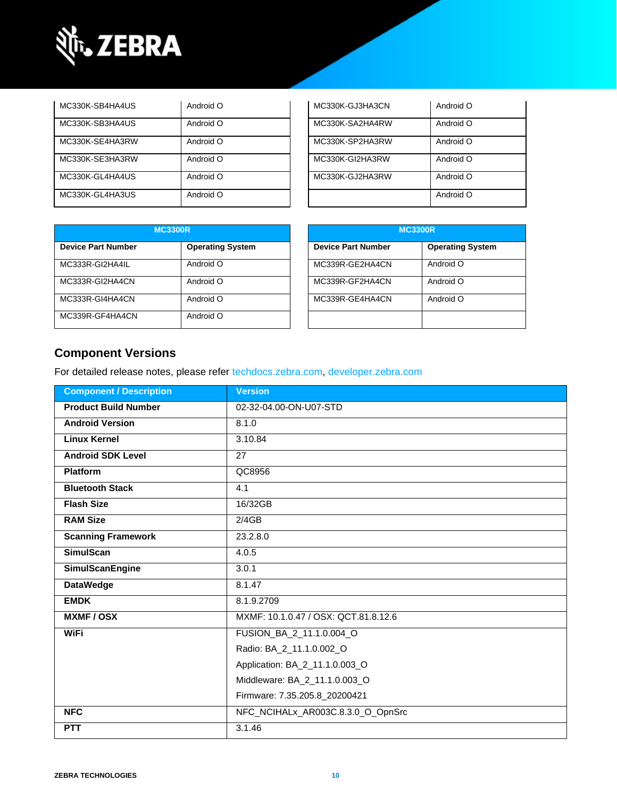

| MC330K-SB4HA4US | Android O | MC330K-GJ3HA3CN | Android O |
|-----------------|-----------|-----------------|-----------|
| MC330K-SB3HA4US | Android O | MC330K-SA2HA4RW | Android O |
| MC330K-SE4HA3RW | Android O | MC330K-SP2HA3RW | Android O |
| MC330K-SE3HA3RW | Android O | MC330K-GI2HA3RW | Android O |
| MC330K-GL4HA4US | Android O | MC330K-GJ2HA3RW | Android O |
| MC330K-GL4HA3US | Android O |                 | Android O |

| MC330K-GJ3HA3CN | Android O |
|-----------------|-----------|
| MC330K-SA2HA4RW | Android O |
| MC330K-SP2HA3RW | Android O |
| MC330K-GI2HA3RW | Android O |
| MC330K-GJ2HA3RW | Android O |
|                 | Android O |

| <b>MC3300R</b>            |                         | <b>MC3300R</b>            |                         |
|---------------------------|-------------------------|---------------------------|-------------------------|
| <b>Device Part Number</b> | <b>Operating System</b> | <b>Device Part Number</b> | <b>Operating System</b> |
| MC333R-GI2HA4IL           | Android O               | MC339R-GE2HA4CN           | Android O               |
| MC333R-GI2HA4CN           | Android O               | MC339R-GF2HA4CN           | Android O               |
| MC333R-GI4HA4CN           | Android O               | MC339R-GE4HA4CN           | Android O               |
| MC339R-GF4HA4CN           | Android O               |                           |                         |

| <b>MC3300R</b>            |                         |  |
|---------------------------|-------------------------|--|
| <b>Device Part Number</b> | <b>Operating System</b> |  |
| MC339R-GE2HA4CN           | Android O               |  |
| MC339R-GF2HA4CN           | Android O               |  |
| MC339R-GE4HA4CN           | Android O               |  |
|                           |                         |  |

## **Component Versions**

For detailed release notes, please refer [techdocs.zebra.com,](https://techdocs.zebra.com/) [developer.zebra.com](https://developer.zebra.com/)

| <b>Component / Description</b> | <b>Version</b>                       |
|--------------------------------|--------------------------------------|
| <b>Product Build Number</b>    | 02-32-04.00-ON-U07-STD               |
| <b>Android Version</b>         | 8.1.0                                |
| <b>Linux Kernel</b>            | 3.10.84                              |
| <b>Android SDK Level</b>       | 27                                   |
| <b>Platform</b>                | QC8956                               |
| <b>Bluetooth Stack</b>         | 4.1                                  |
| <b>Flash Size</b>              | 16/32GB                              |
| <b>RAM Size</b>                | 2/4GB                                |
| <b>Scanning Framework</b>      | 23.2.8.0                             |
| <b>SimulScan</b>               | 4.0.5                                |
| <b>SimulScanEngine</b>         | 3.0.1                                |
| <b>DataWedge</b>               | 8.1.47                               |
| <b>EMDK</b>                    | 8.1.9.2709                           |
| <b>MXMF/OSX</b>                | MXMF: 10.1.0.47 / OSX: QCT.81.8.12.6 |
| <b>WiFi</b>                    | FUSION_BA_2_11.1.0.004_O             |
|                                | Radio: BA_2_11.1.0.002_O             |
|                                | Application: BA_2_11.1.0.003_O       |
|                                | Middleware: BA_2_11.1.0.003_O        |
|                                | Firmware: 7.35.205.8_20200421        |
| <b>NFC</b>                     | NFC_NCIHALx_AR003C.8.3.0_O_OpnSrc    |
| <b>PTT</b>                     | 3.1.46                               |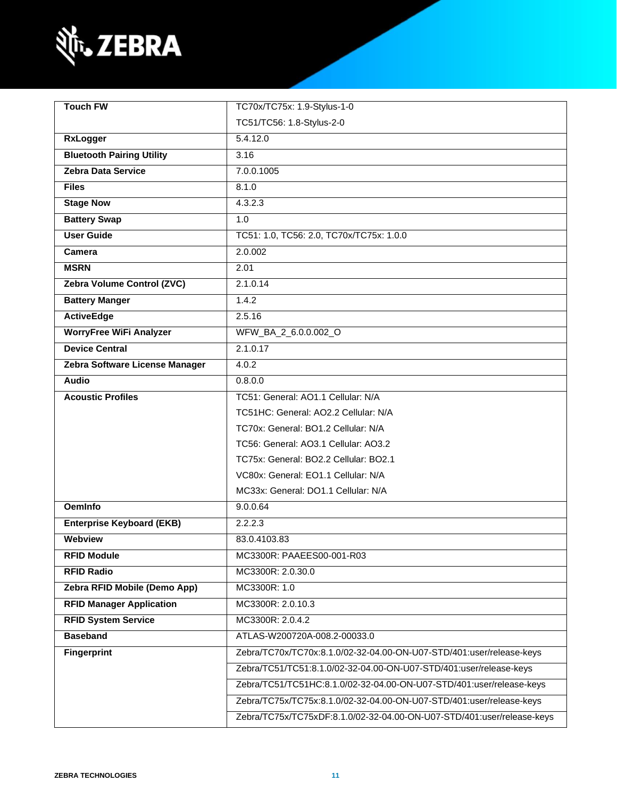

| <b>Touch FW</b>                  | TC70x/TC75x: 1.9-Stylus-1-0                                            |  |
|----------------------------------|------------------------------------------------------------------------|--|
|                                  | TC51/TC56: 1.8-Stylus-2-0                                              |  |
| <b>RxLogger</b>                  | 5.4.12.0                                                               |  |
| <b>Bluetooth Pairing Utility</b> | 3.16                                                                   |  |
| <b>Zebra Data Service</b>        | 7.0.0.1005                                                             |  |
| <b>Files</b>                     | 8.1.0                                                                  |  |
| <b>Stage Now</b>                 | 4.3.2.3                                                                |  |
| <b>Battery Swap</b>              | 1.0                                                                    |  |
| <b>User Guide</b>                | TC51: 1.0, TC56: 2.0, TC70x/TC75x: 1.0.0                               |  |
| Camera                           | 2.0.002                                                                |  |
| <b>MSRN</b>                      | 2.01                                                                   |  |
| Zebra Volume Control (ZVC)       | 2.1.0.14                                                               |  |
| <b>Battery Manger</b>            | 1.4.2                                                                  |  |
| <b>ActiveEdge</b>                | 2.5.16                                                                 |  |
| <b>WorryFree WiFi Analyzer</b>   | WFW_BA_2_6.0.0.002_O                                                   |  |
| <b>Device Central</b>            | 2.1.0.17                                                               |  |
| Zebra Software License Manager   | 4.0.2                                                                  |  |
| <b>Audio</b>                     | 0.8.0.0                                                                |  |
| <b>Acoustic Profiles</b>         | TC51: General: AO1.1 Cellular: N/A                                     |  |
|                                  | TC51HC: General: AO2.2 Cellular: N/A                                   |  |
|                                  | TC70x: General: BO1.2 Cellular: N/A                                    |  |
|                                  | TC56: General: AO3.1 Cellular: AO3.2                                   |  |
|                                  | TC75x: General: BO2.2 Cellular: BO2.1                                  |  |
|                                  | VC80x: General: EO1.1 Cellular: N/A                                    |  |
|                                  | MC33x: General: DO1.1 Cellular: N/A                                    |  |
| <b>OemInfo</b>                   | 9.0.0.64                                                               |  |
| <b>Enterprise Keyboard (EKB)</b> | 2.2.2.3                                                                |  |
| Webview                          | 83.0.4103.83                                                           |  |
| <b>RFID Module</b>               | MC3300R: PAAEES00-001-R03                                              |  |
| <b>RFID Radio</b>                | MC3300R: 2.0.30.0                                                      |  |
| Zebra RFID Mobile (Demo App)     | MC3300R: 1.0                                                           |  |
| <b>RFID Manager Application</b>  | MC3300R: 2.0.10.3                                                      |  |
| <b>RFID System Service</b>       | MC3300R: 2.0.4.2                                                       |  |
| <b>Baseband</b>                  | ATLAS-W200720A-008.2-00033.0                                           |  |
| <b>Fingerprint</b>               | Zebra/TC70x/TC70x:8.1.0/02-32-04.00-ON-U07-STD/401:user/release-keys   |  |
|                                  | Zebra/TC51/TC51:8.1.0/02-32-04.00-ON-U07-STD/401:user/release-keys     |  |
|                                  | Zebra/TC51/TC51HC:8.1.0/02-32-04.00-ON-U07-STD/401:user/release-keys   |  |
|                                  | Zebra/TC75x/TC75x:8.1.0/02-32-04.00-ON-U07-STD/401:user/release-keys   |  |
|                                  | Zebra/TC75x/TC75xDF:8.1.0/02-32-04.00-ON-U07-STD/401:user/release-keys |  |